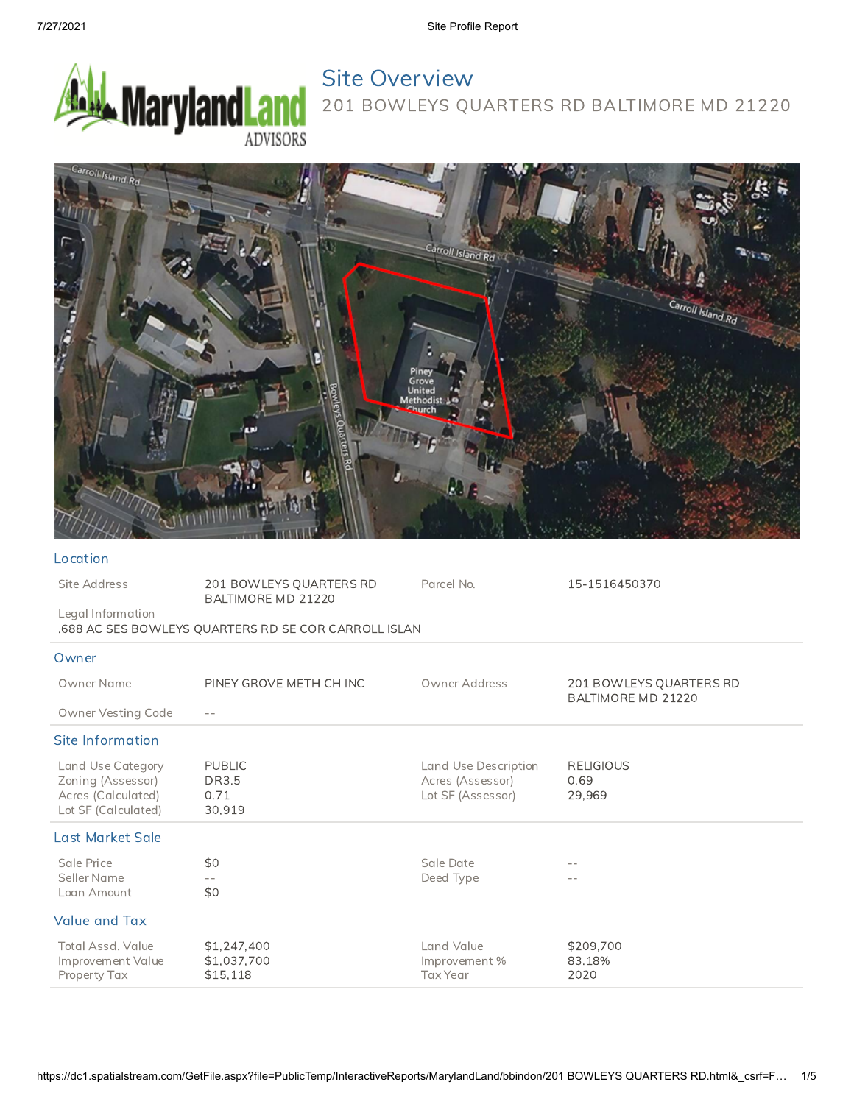

# Site Overview 201 BOWLEYS QUARTERS RD BALTIMORE MD 21220



#### Location

| Site Address                                                                        | 201 BOWLEYS QUARTERS RD<br>BALTIMORE MD 21220        | Parcel No.                                                    | 15-1516450370                                 |
|-------------------------------------------------------------------------------------|------------------------------------------------------|---------------------------------------------------------------|-----------------------------------------------|
| Legal Information                                                                   | .688 AC SES BOWLEYS QUARTERS RD SE COR CARROLL ISLAN |                                                               |                                               |
| Owner                                                                               |                                                      |                                                               |                                               |
| Owner Name                                                                          | PINEY GROVE METH CH INC                              | Owner Address                                                 | 201 BOWLEYS QUARTERS RD<br>BALTIMORE MD 21220 |
| Owner Vesting Code                                                                  |                                                      |                                                               |                                               |
| Site Information                                                                    |                                                      |                                                               |                                               |
| Land Use Category<br>Zoning (Assessor)<br>Acres (Calculated)<br>Lot SF (Calculated) | <b>PUBLIC</b><br><b>DR3.5</b><br>0.71<br>30,919      | Land Use Description<br>Acres (Assessor)<br>Lot SF (Assessor) | <b>RELIGIOUS</b><br>0.69<br>29,969            |
| Last Market Sale                                                                    |                                                      |                                                               |                                               |
| Sale Price<br>Seller Name<br>Loan Amount                                            | \$0<br>\$0                                           | Sale Date<br>Deed Type                                        |                                               |
| <b>Value and Tax</b>                                                                |                                                      |                                                               |                                               |
| Total Assd. Value<br>Improvement Value<br>Property Tax                              | \$1,247,400<br>\$1,037,700<br>\$15,118               | Land Value<br>Improvement%<br><b>Tax Year</b>                 | \$209,700<br>83.18%<br>2020                   |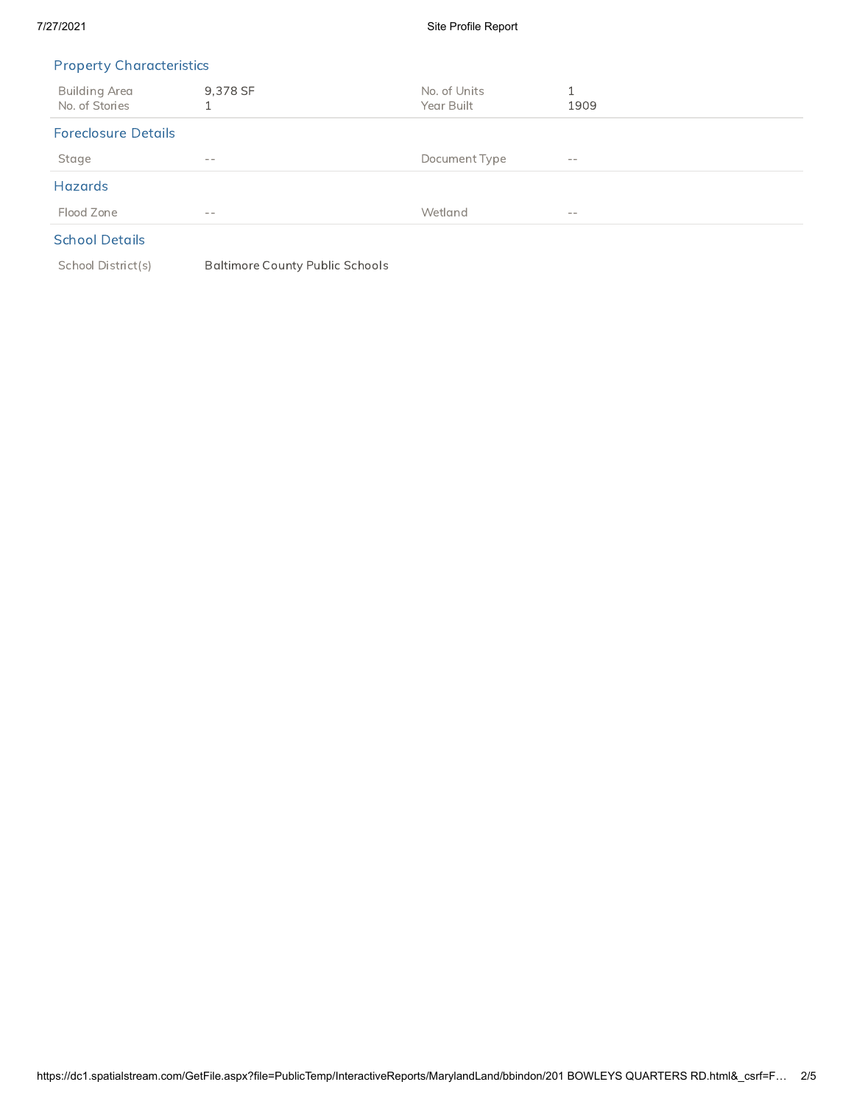#### 7/27/2021 Site Profile Report

## Property Characteristics

| Building Area<br>No. of Stories | 9,378 SF | No. of Units<br>Year Built | 1909       |
|---------------------------------|----------|----------------------------|------------|
| <b>Foreclosure Details</b>      |          |                            |            |
| Stage                           | $- -$    | Document Type              | $\sim$ $-$ |
| <b>Hazards</b>                  |          |                            |            |
| Flood Zone                      | $- -$    | Wetland                    | $- -$      |
|                                 |          |                            |            |

## School Details

School District(s) Baltimore County Public Schools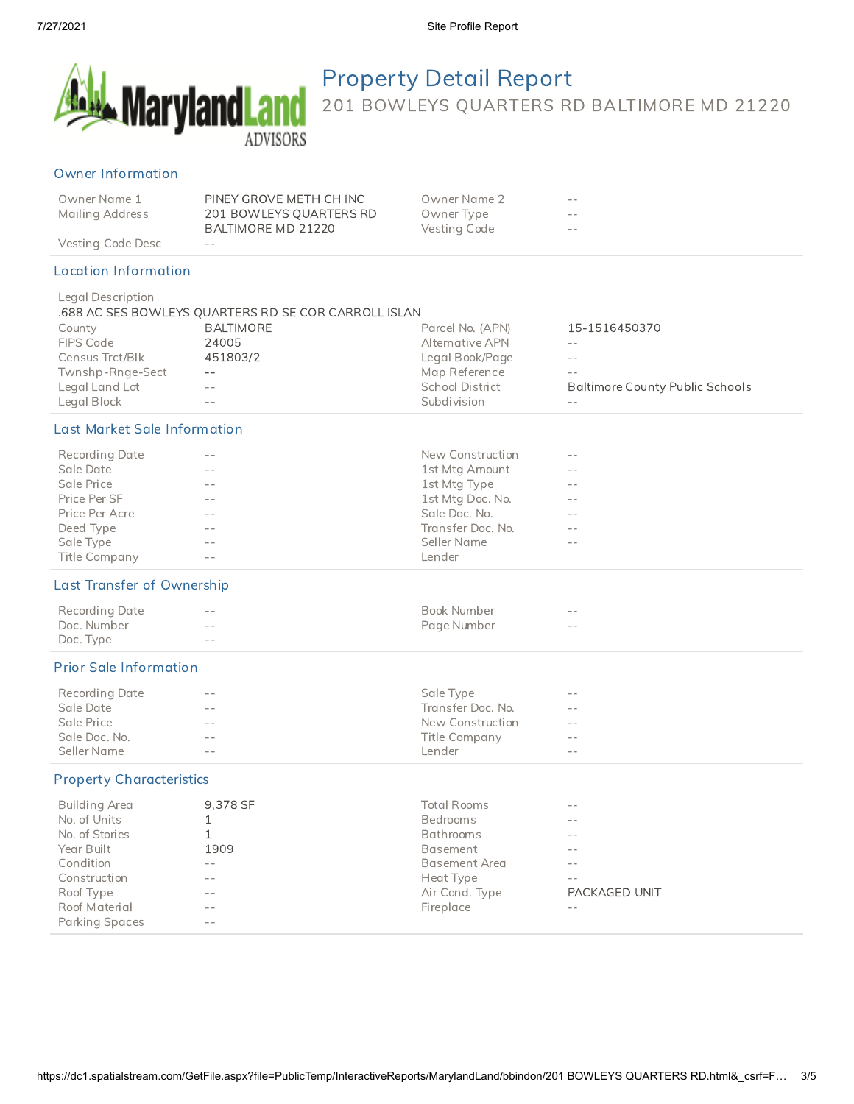

Property Detail Report 201 BOWLEYS QUARTERS RD BALTIMORE MD 21220

#### Owner Information

| Owner Name 1    | PINEY GROVE METH CH INC | Owner Name 2 | $- -$ |
|-----------------|-------------------------|--------------|-------|
| Mailing Address | 201 BOWLEYS QUARTERS RD | Owner Type   | $- -$ |
|                 | BALTIMORE MD 21220      | Vesting Code | $- -$ |
|                 |                         |              |       |

Vesting Code Desc --

#### Location Information

| Legal Description |                                                      |                        |                                        |
|-------------------|------------------------------------------------------|------------------------|----------------------------------------|
|                   | .688 AC SES BOWLEYS QUARTERS RD SE COR CARROLL ISLAN |                        |                                        |
| County            | BALTIMORE                                            | Parcel No. (APN)       | 15-1516450370                          |
| FIPS Code         | 24005                                                | Alternative APN        | $- -$                                  |
| Census Trct/Blk   | 451803/2                                             | Legal Book/Page        | $- -$                                  |
| Twnshp-Rnge-Sect  | $\sim$ $-$                                           | Map Reference          | $- -$                                  |
| Legal Land Lot    | $- -$                                                | <b>School District</b> | <b>Baltimore County Public Schools</b> |
| Legal Block       |                                                      | Subdivision            | --                                     |

## Last Market Sale Information

| <b>Recording Date</b> | $- -$      | New Construction  | $- -$ |  |
|-----------------------|------------|-------------------|-------|--|
| Sale Date             | $ -$       | 1st Mtg Amount    | $- -$ |  |
| Sale Price            | $ -$       | 1st Mtg Type      | $- -$ |  |
| Price Per SF          | $ -$       | 1st Mtg Doc. No.  | $- -$ |  |
| Price Per Acre        | $- -$      | Sale Doc. No.     | $- -$ |  |
| Deed Type             | $\sim$ $-$ | Transfer Doc. No. | $- -$ |  |
| Sale Type             | $ -$       | Seller Name       | $- -$ |  |
| Title Company         | $ -$       | Lender            |       |  |

### Last Transfer of Ownership

| Recording Date | $- -$                                                                                                                                                                                                                                                                                                                                                                                                                                          | Book Number | $- -$      |
|----------------|------------------------------------------------------------------------------------------------------------------------------------------------------------------------------------------------------------------------------------------------------------------------------------------------------------------------------------------------------------------------------------------------------------------------------------------------|-------------|------------|
| Doc. Number    | $\frac{1}{2} \left( \frac{1}{2} \right) \frac{1}{2} \left( \frac{1}{2} \right) \frac{1}{2} \left( \frac{1}{2} \right) \frac{1}{2} \left( \frac{1}{2} \right) \frac{1}{2} \left( \frac{1}{2} \right) \frac{1}{2} \left( \frac{1}{2} \right) \frac{1}{2} \left( \frac{1}{2} \right) \frac{1}{2} \left( \frac{1}{2} \right) \frac{1}{2} \left( \frac{1}{2} \right) \frac{1}{2} \left( \frac{1}{2} \right) \frac{1}{2} \left( \frac{1}{2} \right)$ | Page Number | $\sim$ $-$ |
| Doc. Type      | $- -$                                                                                                                                                                                                                                                                                                                                                                                                                                          |             |            |

### Prior Sale Information

| Recording Date | $- -$         | Sale Type         | $- -$      |
|----------------|---------------|-------------------|------------|
| Sale Date      | $\sim$ $\sim$ | Transfer Doc. No. | $\sim$ $-$ |
| Sale Price     | $- -$         | New Construction  | $ -$       |
| Sale Doc. No.  | $- -$         | Title Company     | $- -$      |
| Seller Name    | $\sim$ $-$    | _ender            | $\sim$ $-$ |

#### Property Characteristics

| Building Area  | 9.378 SF | <b>Total Rooms</b>   | $ -$          |
|----------------|----------|----------------------|---------------|
| No. of Units   |          | <b>Bedrooms</b>      | $ -$          |
| No. of Stories |          | Bathrooms            | $ -$          |
| Year Built     | 1909     | Basement             | $- -$         |
| Condition      | $- -$    | <b>Basement Area</b> | $- -$         |
| Construction   | $ -$     | Heat Type            | $ -$          |
| Roof Type      | $ -$     | Air Cond. Type       | PACKAGED UNIT |
| Roof Material  | $- -$    | Fireplace            | $- -$         |
| Parking Spaces | $ -$     |                      |               |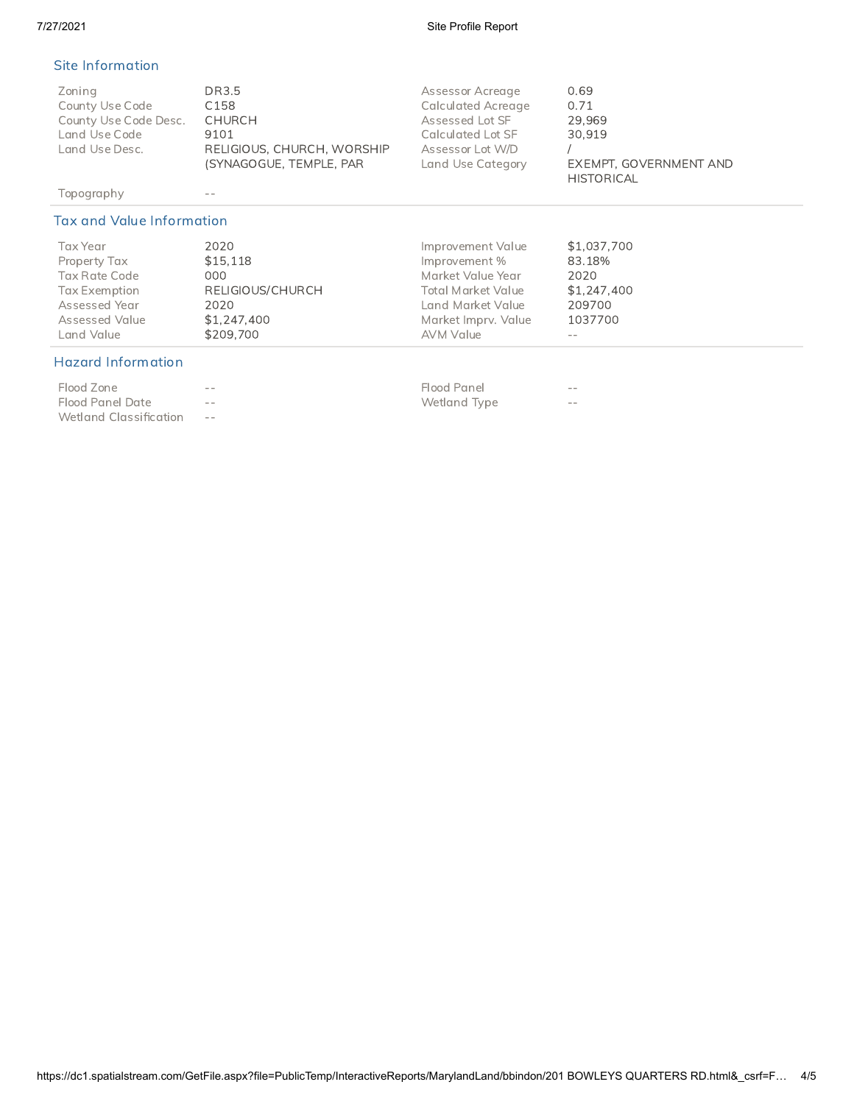#### 7/27/2021 Site Profile Report

## Site Information

| Zoning<br>County Use Code<br>County Use Code Desc.<br>Land Use Code<br>Land Use Desc. | DR3.5<br>C <sub>158</sub><br>CHURCH<br>9101<br>RELIGIOUS, CHURCH, WORSHIP<br>(SYNAGOGUE, TEMPLE, PAR) | Assessor Acreage<br><b>Calculated Acreage</b><br>Assessed Lot SF<br>Calculated Lot SF<br>Assessor Lot W/D<br>Land Use Category | 0.69<br>0.71<br>29.969<br>30.919<br>EXEMPT, GOVERNMENT AND |
|---------------------------------------------------------------------------------------|-------------------------------------------------------------------------------------------------------|--------------------------------------------------------------------------------------------------------------------------------|------------------------------------------------------------|
|                                                                                       |                                                                                                       |                                                                                                                                | <b>HISTORICAL</b>                                          |

Topography --

## Tax and Value Information

| Tax Year       | 2020             | Improvement Value         | \$1,037,700 |
|----------------|------------------|---------------------------|-------------|
| Property Tax   | \$15.118         | Improvement %             | 83.18%      |
| Tax Rate Code  | 000              | Market Value Year         | 2020        |
| Tax Exemption  | RELIGIOUS/CHURCH | <b>Total Market Value</b> | \$1,247,400 |
| Assessed Year  | 2020             | Land Market Value         | 209700      |
| Assessed Value | \$1,247,400      | Market Imprv. Value       | 1037700     |
| Land Value     | \$209.700        | AVM Value                 | $- -$       |

## Hazard Information

| Flood Zone             | $- -$      | Flood Panel  | $- -$ |
|------------------------|------------|--------------|-------|
| Flood Panel Date       | $- -$      | Wetland Type | $- -$ |
| Wetland Classification | $\sim$ $-$ |              |       |

| Flood Zone       | $ -$ | Flood Panel  | --  |
|------------------|------|--------------|-----|
| Flood Panel Date | $ -$ | Wetland Type | $-$ |